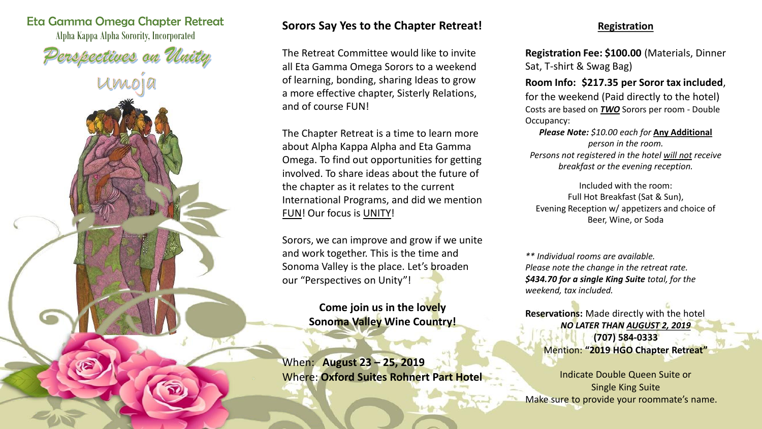

# **Sorors Say Yes to the Chapter Retreat!**

The Retreat Committee would like to invite all Eta Gamma Omega Sorors to a weekend of learning, bonding, sharing Ideas to grow a more effective chapter, Sisterly Relations, and of course FUN!

The Chapter Retreat is a time to learn more about Alpha Kappa Alpha and Eta Gamma Omega. To find out opportunities for getting involved. To share ideas about the future of the chapter as it relates to the current International Programs, and did we mention FUN! Our focus is UNITY!

Sorors, we can improve and grow if we unite and work together. This is the time and Sonoma Valley is the place. Let's broaden our "Perspectives on Unity"!

> **Come join us in the lovely Sonoma Valley Wine Country!**

When: **August 23 – 25, 2019** Where: **Oxford Suites Rohnert Part Hotel**

### **Registration**

**Registration Fee: \$100.00** (Materials, Dinner Sat, T-shirt & Swag Bag)

**Room Info: \$217.35 per Soror tax included**, for the weekend (Paid directly to the hotel) Costs are based on *TWO* Sorors per room - Double Occupancy:

*Please Note: \$10.00 each for* **Any Additional** *person in the room. Persons not registered in the hotel will not receive breakfast or the evening reception.*

Included with the room: Full Hot Breakfast (Sat & Sun), Evening Reception w/ appetizers and choice of Beer, Wine, or Soda

*\*\* Individual rooms are available. Please note the change in the retreat rate. \$434.70 for a single King Suite total, for the weekend, tax included.*

**Reservations:** Made directly with the hotel *NO LATER THAN AUGUST 2, 2019* **(707) 584-0333** Mention: **"2019 HGO Chapter Retreat"**

Indicate Double Queen Suite or Single King Suite Make sure to provide your roommate's name.